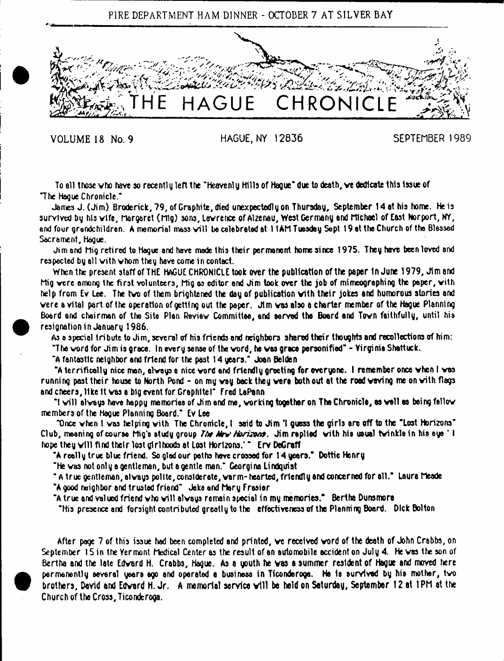



VOLUME 18 No. 9 HAGUE, NY 12836 SEPTEMBER 1989

To ell those vho have sorecently left the "heavenly Hills of Hague\* due to death, ve dedicate this Issue of "The Hague Chronicle."

James J. (Jim) Broderick, 79, of Graphite, died unexpectedly on Thursday, September 14 at his home. He is survived by his vlfe, Margaret (nig) sons, lavrence of Alzenau, West Germany and Michael of East Norport, MY, and four grandchildren. A memorial mass will be celebrated at 11AM Tuesday Sept 19 at the Church of the Blessed Sacrament, Hague.

Jim end Mig retired to Hogue and hove mode this their permanent home since 1975. They hove been loved and respected by all with whom they have come in contact.

When the present staff of THE HAGUE CHRONICLE took over the publication of the paper In June 1979, Jim and Mig vere among the first volunteers, Mig as editor and Jim took over the job of mimeographing the paper, vith help from Ev Lee. The tvo of them brightened the day of publication vith their jokes and humorous stories and vere a vital part of the operation of getting out the paper. Jim ves also a charter member of the Hague Planning Board and chairman of the Site Plan Reviev Committee, and served the Board and Tovn faithfully, until his resignation in January 1986.

As a special tribute to Jim, several of his friends and neighbors shared their thoughts and recollections of him:

"The word for Jim is grace. In every sense of the vord, he vas grace personified" - Virginia Shattuck.

"A fantastic neighbor and friend for the past 14 years." Joan Betden

"A terrifically nice man, olveyse nice vord and friendly greeting for everyone. 1 remember once vhen I vas running past their house to North Pond - on my vay back they vere both out at the road veving me on vith flags and cheers, like It vas a big event for Graphltel" fred LaPann

"I will always have happy memories of Jim and me, working together on The Chronicle, as well as being fellow members of the Hague Planning Board." Ev Lee

"Once vhen I vas helping vith The Chronicle, I said to Jim \*1 guess the girls are off to the "Lost Horizons" Club, meaning of course Mig's study group *7the Mew Horizons.* Jim replied with his usual twinkle in his eye 'I hope they v ill find their lost girlhoods at Lost Horizons.' ' Erv DeGratf

"A really true blue friend. So glad our paths have crossed for 14 years." Dottie Henry

"He vas not only a gentleman, but a gentle man." Georgina Lindquist

" A true gentleman, always polite, considerate, warm- hearted, friendly and concerned for all." Laura Meade "A good neighbor and trusted friend" Jake and Mary frosier

"A true and valued friend who will always remain special in my memories."  $\,$  Bertha Dunsmore

"His presence and forsight contributed greatly to the effectiveness of the Planning Board. Dick Bolton

After page 7 of this issue had been completed and printed, ve received vord of the death of John Crabbs, on September 15 in the Yermont Medical Center as the result of an automobile accident on July 4. He was the son of Bertha and the late Edvard H. Crabbs, Hague. As a youth he vas a summer resident of Hague and moved here permanently several years ago and operated a business in Ticonderoge. Ha Is survived by his mother, tvo brothers, David and Edvard H. Jr. A memorial service v ill be held on Saturday, September 12 at t PM at the Church of the Cross, TiconderoQa.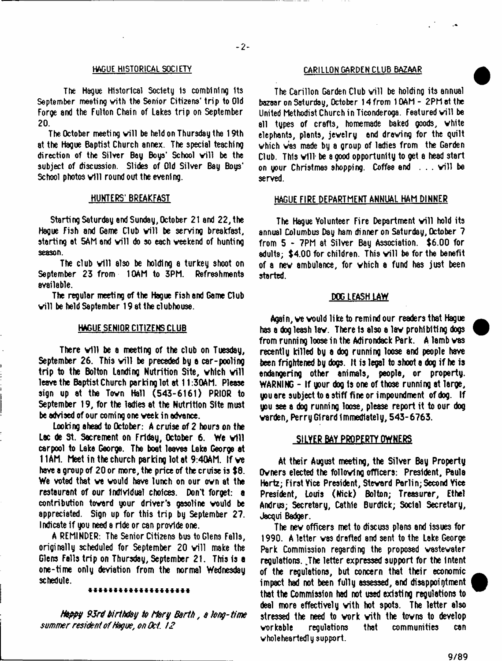#### HAGUE HISTORICAL SOCIETY CARILLON GARDEN CLUB BAZAAR

The Hague Historical Society Is combining Its September meeting with the Senior Citizens' trip to Old Forge and the Fulton Chain of Lakes trip on September 20**.**

The October meeting will be held on Thursday the 19th at the Hague Baptist Church annex. The special teaching direction of the Silver Bay Boys' School will be the subject of discussion. Slides of Old Silver Bay Boys' School photos will round out the evening.

### HUNTERS' BREAKFAST

Starting Saturday and Sunday, October 21 and 22, the Haque Fish and Game Club will be serving breakfast. starting at 5AM and will do so each weekend of hunting season.

The club will also be holding a turkey shoot on September 23 from 10AM to 3PM. Refreshments available.

The regular meeting of the Hague Fish and Game Club will be held Saptember 19 at the clubhouse.

# HAGUE SENIOR CITIZENS CLUB

There will be a meeting of the club on Tuesday, September 26. This will be preceded by a car-pooling trip to the Bolton Landing Nutrition Site, which will leave the Baptist Church parking lot at 11:30AM. Please sign up at the Tovn Hall (543-6161) PRIOR to September 19, for the ladies at the Nutrition Site must be advised of our coming one veek in advance.

Looking ahead to October: A cruise of 2 hours on the Lac de St. Sacrement on Friday, October 6. We will carpool to Lake George. The boat leaves Lake George at 11AM. Meet in the church parking lot at 9:40AM. If ve have a group of 20 or more, the price of the cruise is \$8. We voted that ve vould have lunch on our ovn at the restaurant of our Individual choices. Don't forget: a contribution toverd your driver's gasoline vould be appreciated. Sign up for this trip by September 27. Indicate if you need a ride or can provide one.

A REMINDER: The Senior Citizens bus to Glens Falls, originally scheduled for September 20 will make the Glens Falls trip on Thursday, September 21. This is a one-time only deviation from the normal Wednesday schedule.

#### \*\*\*\*\*\*\*\*\*\*\*\*\*\*\*\*\*\*\*

*Hippy 9JrP birthday to Mary Barth, a hag-time* summer resident of Hague, on Oct. 12

The Carillon Garden Club will be holding its annual bazaar on Saturday, October 14 from 10AM - 2PM at the United Methodist Church in Ticonderoga. Featured will be all types of craft3, homemade baked goods, vhite elephants, plants, jevelry end dreving for the quilt which was made by a group of ladies from the Garden Club. This vill\* be a good opportunity to get a head start on your Christmas shopping. Coffee and . . . will be served.

## HAGUE FIRE DEPARTMENT ANNUAL HAM DINNER

The Hague Volunteer Fire Department will hold its annual Columbus Day tern dinner on Saturday, October 7 from 5 - 7PM at Silver Bay Association. \$6.00 for adults; \$4.00 for children. This will be for the benefit of a nev ambulance, for vhich a fund has just been started.

#### DOG LEASH LAW

Again, ve vould like to remind our readers that Hague has a dog leash lav. There Is also a lav prohibiting dogs from running loose in the Adirondack Park. A lamb vas recently killed by a dog running loose and people have been frightened by dogs. It is legal to shoot a dog if he is endangering other animals, people, or property. WARNING - If your dog Is one of those running at large, you ere subject to e stiff fine or impoundment of dog. If you see a dog running loose, please report it to our dog varden, Perry Girard Immediately, 543-6763.

# **SILVER BAY PROPERTY OWNERS**

At their August meeting, the Silver Bay Property Ovners elected the follovinQ officers: President, Paula Hertz; First Vice President, Stevard Perlin; Second Vice President, Louis (Nick) Bolton; Treasurer, Ethel Andrus; Secretary, Cathie Burdick; Social Secretary, J8cqui Badger.

The nev officers met to discuss plans and issues for 1990. A letter vas drafted and sent to the Lake George Park Commission regarding the proposed vastewater regulations. Jhe letter expressed support for the Intent of the regulations, but concern that their economic impact had not been fully assessed, and disappointment that the Commission had not used existing regulations to deal more effectively vith hot spots. The letter also stressed the need to work with the towns to develop workable regulations that communities can whole heartedly support.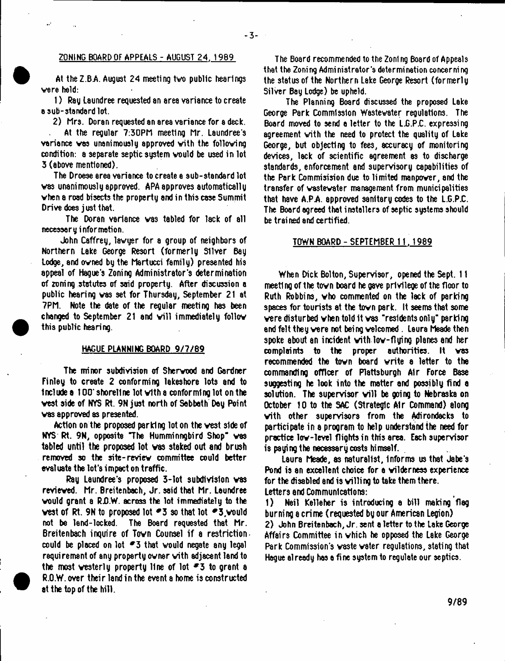## ZONING BOARD OF APPEALS - AUGUST 24, 1989

 $-3 -$ 

At the Z.BA. August 24 meeting tvo public hearings vere held:

1) Rag Laundree requested an area variance to create o sub-standard lot.

2) Mrs. Doran requested an area variance for a deck.

At the regular ?:30PM meeting Mr. Laundree's variance vas unanimously approved vith the folloving condition: a separate septic system vould be used in lot 3 (above mentioned).

The Droese area variance to create a sub-standard lot vas unanimously approved. APA approves automatically vhen a road bisects the property and in this case Summit Drive does just that.

The Doran variance vas tabled for lack of all necessary information.

John Caffrey, lavyer for a group of neighbors of Northern Lake George Resort (formerly Sliver Bay Lodge, and ovned by the Martucci family) presented his appeal of Hague's Zoning Administrator's determination of zoning statutes of said property. After discussion a public hearing vas set for Thursday, September 21 at 7PM. Note the date of the regular meeting has been changed to September 21 and will immediately follow this public hearing.

#### HAGUE PLANNING BOARD 9/7/89

The minor subdivision of Shervood and Gardner Finley to create 2 conforming lakeshore lots and to Include a 100\* shoreline lot vith a conforming lot on the vest side of NYS Rt. 9Njust north of Sabbath Day Point vas approved as presented.

Action on the proposed parking lot on the vest side of NYS Rt. 9N, opposite "The Humminngbird Shop" was tabled until the proposed lot vas staked out and brush removed so the site-reviev committee could better evaluate the lot's impact on traffic.

Ray Laundree's proposed 3-lot subdivision vas revieved. Mr. Breitenbach, Jr. said that Mr. Laundree would grant a R.O.W. across the lot immediately to the west of Rt. 9N to proposed lot  $-3$  so that lot  $-3$ , would not be land-locked. The Board requested that Mr. Breitenbach inquire of Town Counsel if a restriction. could be placed on lot  $-3$  that would negate any legal requirement of any property owner vith adjacent land to the most westerly property line of lot  $-3$  to grant a R.O.W.over their land in the event a home is constructed at the top of the hill.

The Board recommended to the Zoning Board of Appeals that the Zoning Administrator's determination concerning the status of the Northern Lake George Resort (formerly Silver Bay Lodge) be upheld.

The Planning Board discussed the proposed Lake George Park Commission Wastewater regulations. The Board moved to send a letter to the L.G.P.C. expressing agreement vith the need to protect the quality of Lake George, but objecting to fees, accuracy of monitoring devices, lack of scientific agreement as to discharge standards, enforcement and supervisory capabilities of the Park Commisision due to limited manpower, and the transfer of wastewater management from municipalities that have A.PA approved sanitary codes to the L.G.P.C. The Board agreed that installers of septic systems should be trained and certified.

#### TOWN BOARD - SEPTEMBER 11.1989

When Dick Bolton, Supervisor, opened the Sept. 11 meeting of the tovn board he gave privilege of the floor to Ruth Robbins, who commented on the lack of parking spaces for tourists at the tovn park. It seems that some vere disturbed vhen told it vas "residents only- parking end felt they vere not being welcomed. Laura Meade then spoke about an incident vith lov-flying planes and her complaints to the proper authorities. It vas recommended the town board write a letter to the commanding officer of Plattsburgh Air Force Base suggesting he look into the matter and possibly find a solution. The supervisor will be going to Nebraska on October 10 to the SAC (Strategic Air Command) along vith other supervisors from the Adirondacks to participate in a program to help understand the need for practice lov-level flights in this area. Each supervisor is paying the necessary costs himself.

Laura Meade, as naturalist, Informs us that Jabe's Pond is an excellent choice for a vilderness experience for the disabled and is willing to take them there. Letters and Communications:

1) Neil Kelleher is introducing a bill making'flag burning a crime (requested by our American Legion) 2) John Breitenbach, Jr. sent a letter to the Lake George Affairs Committee in vhich he opposed the Lake George Park Commission's vaste vater regulations, stating that Hague already has a fine system to regulate our septics.

9/89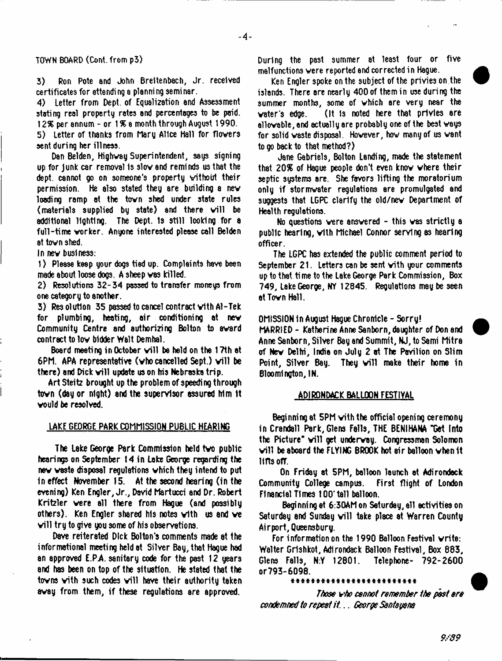#### TOWN BOARD (Cont. from p3)

3) Ron Pote and John Breitenbach, Jr. received certificates for attending a planning seminar.

4) Letter from Dept, of Equalization and Assessment stating real property rates and percentages to be paid. 1*2%* per annum - or 1 *%* a month through August 1990. 5) Letter of thanks from Mary Alice Hall for flovers

sent during her illness.

Dan Belden, Highway Superintendent, says signing up for Junk car removal Is slow and reminds us that the dept, cannot go on someone's property without their permission. He also stated they are building a nev loading ramp at the tovn shed under state rules (materials supplied by state) and there will be additional lighting. The Dept. 1s still looking for a full-time worker. Anyone interested please call Belden at tovn shed.

In nev buslness:

1) Please keep your dogs tied up. Complaints have been made about loose dogs. A sheep vas killed.

2) Resolutions 32-34 passed to transfer moneys from one category to another.

3) Resolution 35 passed to cancel contract vith Al-Tek for plumbing, heating, air conditioning at new Community Centre and authorizing Bolton to award contract to lov bidder Walt Demhal.

Board meeting in October will be held on the 17th at 6PM. APA representative (vho cancelled Sept.) v ill be there) and Dick will update us on his Nebraska trip.

Art Steitz brought up the problem of speeding through tovn (day or night) and the supervisor assured him It vould be resolved.

#### LAKE GEORGE PARK COMMISSION PUBLIC HEARING

The Lake George Park Commission held tvo public hearings on September 14 in Lake George regarding the nev vaste disposal regulations vhich they intend to put in effect November 15. At the second hearing (in the evening) Ken Engler, Jr., David Martucci and Dr. Robert Kritzler vere all there from Hague (and possibly others). Ken Engler shared his notes vith us and ve will try to give you some of his observations.

Dave reiterated Dick Bolton's comments made at the informational meeting held at Silver Bay, that Hague had an approved E.PA. sanitary code for the past 12 years and has been on top of the situation. He stated that the towns with such codes will have their authority taken away from them, if these regulations are approved.

During the past summer at least four or five malfunctions vere reported and corrected in Hague.

Ken Engler spoke on the subject of the privies on the islands. There are nearly 400 of them in use during the summer months, some of which are very near the vaters edge. (It is noted here that privies are allovable,and actually are probably one of the best vays for solid waste disposal. However, how many of us want to go back to that method?)

Jane Gabriels, Bolton Landing, made the statement that 20% of Hague people don't even knov vhere their septic systems are. She favors lifting the moratorium only if stormvater regulations are promulgated and suggests that LGPC clarify the old/new Department of Health regulations.

No questions vere ansvered - this vas strictly a public hearing, vith Michael Connor serving as hearing officer.

The LGPC has extended the public comment period to September 21. Letters can be sent vith your comments up to that ti me to the Lake George Park Commission, Box 749, Lake George, NY 12845. Regulations may be seen at Tovn Hall.

OMISSION In August Hague Chronicle - Sorry!

MARRIED - Katherine Anne Sanborn, daughter of Don and Anne Sanborn, Silver Bay and Summit, NJ, to Sami Mitra of Nev Delhi, India on July 2 at The Pavilion on Slim Point, Silver Bay. They will make their home in Bloomington, IN.

# ADIRONDACK BALLOON FESTIVAL

Beginning at 5PM vith the official opening ceremony in Crandall Park, Glens Falls, THE BENIHANA "Get Into the Picture" will get underway. Congressman Solomon. v ill be aboard the FLYING BROOK hot air balloon vhen it lifts ofT.

On Friday at 5PM, balloon launch at Adirondack Community College campus. First flight of London Financial Times 100' tall balloon.

Beginning at 6:30AM on Saturday, all activities on Saturday and Sunday will take place at Warren County Airport, Queensbury.

For information on the 1990 Balloon Festival write: Walter Grishkot, Adirondack Balloon Festival, Box 883, Glens Falls, N:Y 12801. Telephone- 792-2600 or793-6098.

#### 4444444444444444444444444

*Those vho cannot remember the pest ere condemned to repeat i t* .. *George Santayana*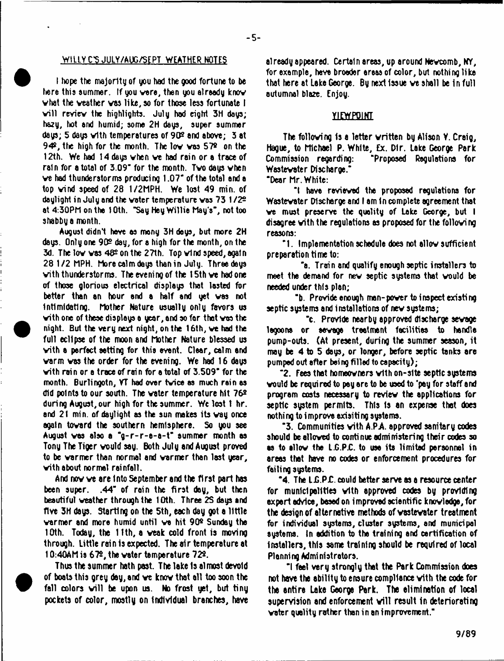# WILLYCS JULY/AUG/SEPT WEATHER NOTES

I hope the majority of you had the good fortune to be here this summer. If you were, then you already know vhat the veather vas like, so for those less fortunate I will review the highlights. July had eight 3H days; hazy, hot end humid; some 2H days, super summer days; 5 days with temperatures of 90<sup>2</sup> and above; 3 at 94®, the high for the month. The lov vas 57® on the 12th. We had 14 days vhen ve had rain or a trace of rain for a total of 3.09' for the month. Tvo days vhen ve had thunderstorms producing 1.07' of the total end a top vind speed of 28 1/2MPH. We lost 49 min. of daylight in July end the voter temperature vas 73 1/2® at 4:30PM on the 10th. "Say Hey Willie May's", not too shabby a month.

August didn't heve as mony 3H deys, but more 2H days. Only one 90® day, for a high for the month, on the 3d. The lov vas 48® on the 27th. Top vind speed, again 28 1/2 MPH. More calm deys than in July. Three deys vith thunderstorms. The evening of the 15th ve had one of those glorious electrical displays that lasted for better than an hour and a half and yet vas not Intimidating. Mother Nature usually only favors us vith one of these displays a year, and so far that vas the night. But the very next night, on the 16th, ve had the full eclipse of the moon and Mother Nature blessed us vith a perfect setting for thio event. Clear, calm and varm vas the order for the evening. We had 16 days with rain or a trace of rain for a total of 3.509" for the month. Burlingotn, VT had over tvice as much rain es did points to our south. The voter temperature hit 76® during August, our high for the summer. We lost 1 hr. and 21 min. of daylight as the sun makes its vay once again tovard the southern hemisphere. So you see August vas also a "g-r-r-e-a-t" summer month as Tony The Tiger vould say. Both July and August proved to be varmer than normal and varmer than last year, vith about normal rainfall.

And novve are Into September and the first part has been super. .44" of rain the first day, but then beautiful veather through the 10th. Three 2S days and five 3H days. Starting on the 5th, each day got a little varmer and more humid until ve hit 90® Sunday tha 10th. Today, the 11th, a veak cold front is moving through, little rain Is expected. The air temperature at 10:40AM is 67®, the vater temperature 72®.

Thus the summer hath past. The lake Is almost devoid of boats this grey day, and ve knov that all too soon the fall colors will be upon us. No frost yet, but tiny pockets of color, mostly on Individual branches, have already appeared. Certain areas, up around Nevcomb, NY, for example, have broader areas of color, but nothing like that here at Lake George. By next issue we shall be in full autumnal bla2e. Enjoy.

# VIEWPOINT

The folloving Is e letter vritten by Alison Y. Craig, Hague, to Michael P. White, Ex. Dir. Lake George Park Commission regarding: "Proposed Regulations for Wastewater Discharge."

"Dear Mr. White:

"I have reviewed the proposed regulations for Wastevater Discharge and I am In complete agreement that ve must preserve the quality of Lake George, but I disagree vith the regulations as proposed for the folloving reasons:

"1. Implementation schedule does not ellov sufficient preparation time to:

"a. Train and qualify enough septic installers to meet the demand for nev septic systems that vould be needed under this plan;

"b. Provide enough man-pover to inspect existing septic systems and installations of nev systems;

"c. Provide nearby approved discharge sevage lagoons or sevage treatment facilities to handle pump-outs. (At present, during the summer season, it may be 4 to 5 days, or longer, before septic tanks are pumped out after being filled to capacity);

"2. Fees that homeovners vith on-site septic systems vould be required to pay are to be used to 'pay for staff and program costs necessary to reviev the applications for septic system permits. This is an expense that does nothing to improve exisiting systems.

' 3. Communities vith A.PA approved sanitary codes should be alloved to continue administering their codes so as to allow the L.G.P.C. to use its limited personnel in areas that have no codes or enforcement procedures for failing systems.

 $-4$ . The L.G.P.C. could better serve as a resource center for municipalities vith approved codes by providing expert advice, besed on improved scientific knowledge, for the design of alternative methods of wastewater treatment for individual systems, cluster systems, and municipal systems, tn addition to tha training and certification of Installers, this same training should be required of local Planning Administrators.

"I fael very strongly that the Park Commission does not have the ability to ensure compliance vith the code for the antire Lake George Park. The elimination of local supervision and enforcement will result in deteriorating water quality rather than in an improvement."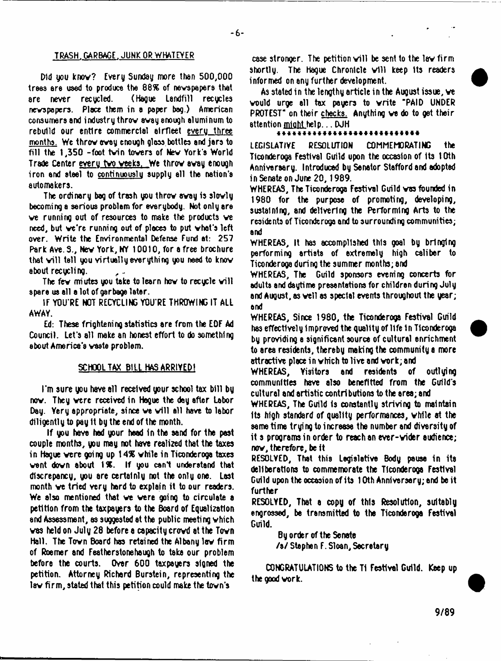#### TRASH. GARBAGE. JUNK OR WHATEVER

Did you knov? Every Sunday more than 500,000 treed ere used to produce the 88% of nevepepere that are never recycled. (Hague Landfill recycles nevspopera. Place them in a paper bag.) American consumers and industry throv avay enough aluminum to rebuild our entire commercial airfleet every three months. We throv avay enough gloss bottles and jars to fill the 1,350 -foot tvin tovers of Nev York's World Trade Center every two veeks. We throw away enough iron and steel to continuously supply all the nation's automakers.

The ordinary bag of trash you throv avay is slovly becoming a serious problem for everybody. Not only are ve running out of resources to make the products ve need, but ve're running out of places to put vhat's left over. Write the Environmental Defense Fund at: 257 Park Ave. 3., Nev York, NY 10010, for a free brochure that will tall you virtually everything you need to know about recucling.

The few miutes you take to learn how to recycle will spare us all a lot of garbage later.

IF YOU'RE NOT RECYCLING YOU'RE THROWING IT ALL AWAY.

Ed: These frightening statistics are from the EOF Ad Council. Let's all make an honest effort to do something about America's waste problem.

#### SCHOOL TAX BILL HAS ARRIVED!

I'm sure you have all received your school tax bill by now. They were received in Hague the day after Labor Day. Yery appropriate, since we will all have to labor diligently to pay It by the end of the month.

If you have had your head In the sand for the pest couple months, you may not have realized that the taxes in Hague vere going up 1*4%* vhile in Ticonderoga taxes vent dovn about 1%. If you canl understand that discrepancy, you are certainly not the only one. Last month ve tried very hard to explain it to our readers. We also mentioned that ve vere going to circulate a petition from the taxpayers to the Board of Equalization and Assessment, as suggested at the public meeting vhich vas held on July 28 before a capacity crovd at the Tovn Hall. The Tovn Board has retained the Albany lav firm of Roemer and Featherstonehaugh to take our problem before the courts. Over 600 taxpayers signed the petition. Attorney Richard Burstein, representing the lav firm, stated that this petition could make the tovn's

case stronger. The petition will be sent to the law firm  $\,$ shortly. The Hague Chronicle will keep its readers informed on any further development.

As stated in the lengthy article in the August issue, ve vould urge all tax payers to vrite "PAID UNDER PROTEST" on their checks. Anything ve do to get their attention mioht help... DJH

#### \*\*\*\*\*\*\*\*\*\*\*\*

LEGISLATIVE RESOLUTION COMMEMORATING the Ticonderoga Festival Guild upon the occasion of Its t Oth Anniversary. Introduced by Senator Stafford and adopted in Senate on June 20,1989.

WHEREAS, The Ticonderoga Festival Guild vas founded in 1980 for the purpose of promoting, developing, sustaining, and delivering the Performing Arts to the residents of Ticonderoga and to surrounding communities; and

WHEREAS, It has accomplished this goal by bringing performing artists of extremely high caliber to Ticonderoga during the summer months; and

WHEREAS, The Guild sponsors evening concerts for adults and daytime presentations for children during July and August, as veil as special events throughout the year; and

WHEREAS, Since 1980, the Ticonderoga Festival Guild has effectively Improved the quality of life 1n Ticonderoga by providing a significant source of cultural enrichment to area residents, thereby making the community a more attractive place in which to live and work; and

WHEREAS, Visitors and residents of outlying communities have also benefitted from the Guild's cultural and artistic contributions to the area; and

WHEREAS, The Guild Is constantly striving to maintain Its high standard of quality performances, vhile at the aarne time trying to increase tha number and diversity of it s programs in order to reach an ever-vider audience; nov, therefore, be it

RESOLVED, That this Legislative Body pause in its deliberations to commemorate the Tlconderooa Festival Guild upon the occasion of its 10th Anniversary; and be it further

RESOLVED, That a copy of this Resolution, suitably engrossed, be transmitted to tha Ticonderoga Festival Guild.

By order of the Senate

/a/ Stephen F. Sloan,Secretary

CONGRATULATIONS to the T1 Festival Guild. Keep up the good vork.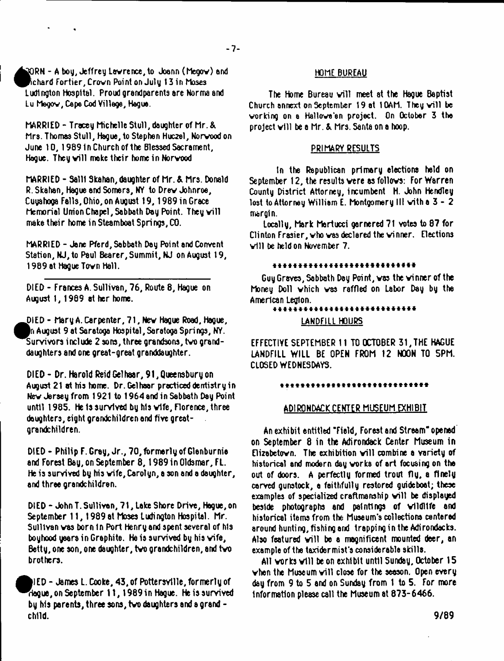**S** lRN - A bog, Jeffrey Lawrence, to Joann (Megov) and chard Fortier, Crown Point on July 13 in Moses Ludlngton Hospital. Proud grandparents are Norma and Lu Megov, Cape Cod Village, Hague.

MARRIED - Tracey Michelle Stull, daughter of Mr.& Mrs. Thomas Stull, Hague, to Stephen Huc2el, Norwood on June 10,1989 In Church of the Blessed Sacrament, Hague. They will make their home in Norwood

MARRIED - Salll Skahan, daughter of Mr. & Mrs. Donald R. Skahan, Hague and Somers, NY to Drew Johnroe, Cuyahoga Falls, Ohio, on August 19, 1989 in Grace Memorial Union Chapel, Sabbath Day Point. They will make their home in Steamboat Springs, CO.

MARRIED - Jane Pferd, Sabbath Day Point and Convent Station, NJ, to Paul Bearer, Summit, NJ on August 19, 1989 at Hague Town Hall.

DIED - Frances A. Sullivan, 76, Route 8, Hague on August 1, 1989 at her home.

^^IE D - Mary A. Carpenter, 71, New Hague Road, Hague, August 9 at Saratoga Hospital, Saratoga Springs, NY. Survivors include 2 sons, three grandsons, two granddaughters and one great-great granddaughter.

DIED - Dr. Harold Reid Gelhaar, 91, Queensbury on August 21 at his home. Dr. Gelhaar practiced dentistry in New Jersey from 1921 to 1964 and in Sabbath Day Point until 1985. He Is survived by his wife, Florence, three daughters, eight grandchildren and five greatgrandchildren.

DIED - Philip F. Gray, Jr., 70, formerly of Glenburnia and Forest Bay, on September 8, 1989 in Oldsmar, FL. He is survived by his wife, Carolyn, a son and a daughter, and three grandchildren.

Dl ED - John T. Sullivan, 71, lake Shore Drive, Hogue, on September 11,1989 at Moses Ludington Hospital. Mr. Sullivan was born in Port Henry and spent several of his boyhood years in Graphite. Ha is survived by his wife, Betty, one son, one daughter, two grandchildren, and two brothers.

^felED - James L. Cooke, 43, of Pottersvtlle, formerly of ^^lague, on September 11, 1989 in Hague. He is survived by his parents, three sons, two daughters and a grand child.

# HOME BUREAU

The Home Bureau will meet at the Hague Baptist Church annext on September 19 at 1OAM. They will be working on a Hallowe'en project. On October 3 the project will be a Mr. & Mrs. Santa on a hoop.

# PRIMARY RESULTS

In the Republican primary elections held on September 12, the results were as follows: For Warren County District Attorney, incumbent H. John Hendlcy lost to Attorney Williem E. Montgomery III vith a 3 - 2 margin.

locally, Mark Mertucci garnered 71 votes to 87 for Clinton Frasier, who vas declared the winner. Elections will be held on November 7.

# \*\*\*\*\*\*\*\*\*\*\*\*\*\*\*\*\*\*\*\*\*\*\*\*\*\*\*\*

Guy Graves, Sabbath Day Point, vas the winner of the Money Doll vhich vas raffled on labor Day by the American Legion.

# 44444444444444444 \* 444444444 \*

LANDFILL HOURS

EFFECTIVE SEPTEMBER 11 TO OCTOBER 31, THE HAGUE LANDFILL WILL BE OPEN FROM 12 NOON TO 5PM. CLOSED WEDNESDAYS.

#### \*\*\*\*\*\*\*\*\*\*\*\*\*\*\*\*\*\*\*\*\*\*\*\*\*\*\*\*\*

# ADIRONDACK CENTER MUSEUM EXHIBIT

An exhibit entitled "Field, Forest and Stream- opened on September 8 in the Adirondack Center Museum in Elizebetovn. The exhibition will combine a variety of historical and modern day works of art focusing on the out of doors. A perfectly formed trout fly, a finely carved gunstock, a faithfully restored guideboat; these examples of specialized craftmanship will be displayed beside photographs and paintings of wildlife and historical items from the Museum's collections centered around hunting, fishing and trapping in the Adirondacks. Also featured will be a magnificent mounted deer, an example of the taxidermist's considerable skills.

All works will be on exhibit until Sunday, October 15 when the Museum will close for the seeson. Open every dey from 9 to 5 and on Sunday from 1 to 5. For more information please call the Museum at 873-6466.